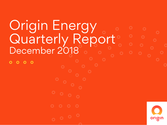# Origin Energy Quarterly Report December 2018

 $\overline{O}$ **OO**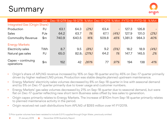### Summary



|                                  | Unit           | Dec-18 QTR Sep-18 QTR % Myt Dec-17 QTR % Myt FYTD-19 FYTD-18 |          |       |       |                          |         |       | % Mvt |
|----------------------------------|----------------|--------------------------------------------------------------|----------|-------|-------|--------------------------|---------|-------|-------|
| Integrated Gas (Origin Share)    |                |                                                              |          |       |       |                          |         |       |       |
| Production                       | PJ             | 63.1                                                         | 64.3     | (2%)  | 63.4  | $\overline{\phantom{0}}$ | 127.3   | 126.8 |       |
| Sales                            | PJe            | 64.2                                                         | 63.7     | 1%    | 67.1  | (4%)                     | 127.9   | 131.0 | (2%)  |
| <b>Commodity Revenue</b>         | $\mathsf{\$m}$ | 740.9                                                        | 640.5    | 16%   | 509.8 | 45%                      | 1,381.3 | 984.3 | 40%   |
| <b>Energy Markets</b>            |                |                                                              |          |       |       |                          |         |       |       |
| Electricity sales                | TWh            | 8.7                                                          | 9.5      | (8%)  | 9.2   | (5%)                     | 18.2    | 18.9  | (4%)  |
| Natural gas sales                | PJ             | 65.0                                                         | $82.8_1$ | (21%) | 64.2  | 1%                       | 147.7   | 145.5 | 2%    |
| Capex - continuing<br>operations | \$m            | 152                                                          | 42       | 261%  | 77    | 97%                      | 194     | 138   | 41%   |

- Origin's share of APLNG revenue increased by 16% on Sep-18 quarter and by 45% on Dec-17 quarter primarily driven by higher realised LNG prices. Production was stable despite planned upstream maintenance.
- Energy Markets' electricity sales volumes decreased by 8% on Sep-18 quarter in line with seasonal demand and by 5% on Dec-17 quarter primarily due to lower usage and customer numbers.
- Energy Markets' gas sales volumes decreased by 21% on Sep-18 quarter due to seasonal demand, but were flat on Dec-17 quarter reflecting new short term Business sales offset by less sales to generation.
- Origin capex primarily relates to Energy Markets. The increase of \$110m from Sep-18 quarter primarily relates to planned maintenance activity in the period.
- Origin received net cash distributions from APLNG of \$393 million over H1 FY2019.

1) Prior quarter volumes have been restated to include 0.5 PJ supplied through Origin Water, previously omitted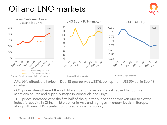# Oil and LNG markets





- APLNG's effective oil price in Dec-18 quarter was US\$76/bbl, up from US\$69/bbl in Sep-18 quarter.
- JCC prices strengthened through November on a market deficit caused by looming sanctions on Iran and supply outages in Venezuela and Libya.
- LNG prices increased over the first half of the quarter but began to weaken due to slower industrial activity in China, mild weather in Asia and high gas inventory levels in Europe, along with new LNG liquefaction projects boosting supply.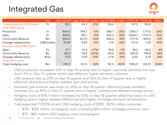## Integrated Gas



|                              | Unit              |        | Dec-18 QTR Sept-18 QTR | % Mvt | Dec-17 QTR' | '% Mvt.           | TD-19   | D-18    | % Mvt |
|------------------------------|-------------------|--------|------------------------|-------|-------------|-------------------|---------|---------|-------|
| Total production (ORG share) | PJ                | 63.1   | 64.3                   | (2%)  | 63.4        | $\qquad \qquad -$ | 127.3   | 126.8   | -     |
| LNG (ORG share)              |                   |        |                        |       |             |                   |         |         |       |
| Production                   | kt                | 844.0  | 766.7                  | 10%   | 885.7       | (5%)              | 1.610.7 | 1.711.6 | (6%)  |
| <b>Sales</b>                 | kt                | 838.6  | 762.1                  | 10%   | 922.3       | (9%)              | 1.600.7 | 1.710.3 | (6%)  |
| <b>Commodity Revenue</b>     | \$m               | 650.5  | 527.0                  | 23%   | 449.3       | 45%               | 1,177.5 | 834.5   | 41%   |
| Average realised price       | US\$/mmbtu        | 10.59  | 9.63                   | 10%   | 7.14        | 48%               | 10.13   | 7.23    | 40%   |
| Domestic Gas (ORG share)     |                   |        |                        |       |             |                   |         |         |       |
| Sales                        | PJ                | 17.7   | 21.4                   | (17%) | 16.0        | 11%               | 39.2    | 36.2    | 8%    |
| <b>Commodity Revenue</b>     | \$m               | 90.4   | 113.5                  | (20%) | 60.5        | 49%               | 203.9   | 149.8   | 36%   |
| Average realised price       | $\frac{f}{g}$ /GJ | 5.10   | 5.29                   | (4%)  | 3.78        | 35%               | 5.20    | 4.13    | 26%   |
| Origin Only costs            |                   |        |                        |       |             |                   |         |         |       |
| Origin hedging costs         | \$m               | (78.1) | (51.1)                 | 53%   | (18.1)      | 331%              | (129.2) | (32.0)  | 304%  |

- LNG production increased 10% on Sep-18 quarter due to higher customer demand, but was down 5% on Dec-17 quarter which was offset by higher domestic volumes.
- LNG revenue was up 23% on Sep-18 quarter and 45% on Dec-17 quarter due to higher effective oil prices and higher realised spot LNG prices.
- Domestic gas revenue was down by 20% on Sep-18 quarter reflecting lower domestic volumes, but up 49% on Dec-17 quarter due to higher volumes and realised average prices.
- Hedging costs of \$78.1 million increased by 53% on Sep-18 quarter reflecting losses on LNG hedging due to higher realised JKM prices and higher oil hedge premium amortisation.
- Total expected FY2019 oil and LNG hedging costs of \$190 \$210 million comprise:
	- − \$115 \$125 million oil hedging costs, including \$34 million oil hedge premium; and
	- − \$75 \$85 million LNG hedging costs (unchanged)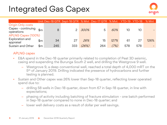#### Integrated Gas Capex



|                                                                                          |     |     | Unit Dec-18 QTR Sept-18 QTR % Mvt Dec-17 QTR % Mvt YTD-19 YTD-18 |             |     |      |     |     | % Mvt |
|------------------------------------------------------------------------------------------|-----|-----|------------------------------------------------------------------|-------------|-----|------|-----|-----|-------|
| <b>Origin Only costs</b><br>Capex - continuing $sin$<br>operations<br>APLNG Capex (100%) |     | 8   |                                                                  | <i>300%</i> | 5   | 60%  | 10  | 10  |       |
| Exploration and<br>appraisal                                                             | \$m | 34  | 27                                                               | 26%         | 15  | 127% | 61  | 27  | 126%  |
| Sustain and Other                                                                        | \$m | 245 | 333                                                              | (26%)       | 264 | (7%) | 578 | 578 |       |

#### APLNG capex

- E&A spend in the Dec-18 quarter primarily related to completion of Peat 3D seismic, casing and suspending the Burunga South 2 well, and drilling the Westgrove 9 well.
	- Westgrove 9, a deep conventional well, reached a total depth of 4,000 mRT on the 5th of January 2019. Drilling indicated the presence of hydrocarbons and further testing is planned.
- Sustain and Other capex was 26% lower than Sep-18 quarter, reflecting lower operated spend due to:
	- drilling 58 wells in Dec-18 quarter, down from 67 in Sep-18 quarter, in line with expectations;
	- phasing of activity including batching of fracture stimulation one batch performed in Sep-18 quarter compared to none in Dec-18 quarter; and
	- lower well delivery costs as a result of dollar per well savings.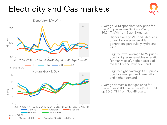#### Electricity and Gas markets



- Average NEM spot electricity price for Dec-18 quarter was \$90.25/MWh, up \$6.54/MWh from Sep-18 quarter:
	- − Higher average VIC and SA prices driven by lower renewable generation, particularly hydro and wind
	- − Slightly lower average NSW prices due to higher renewable generation (primarily solar), higher baseload availability and lower demand
	- − Slightly higher average QLD prices due to lower gas fired generation and higher demand
- Average domestic spot gas price for December 2018 quarter was \$10.06/GJ, up \$0.61/GJ from Sep-18 quarter.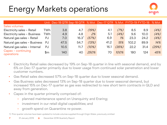## Energy Markets operations



|                                  |            | Unit Dec-18 QTR Sep-18 QTR % Mvt Dec-17 QTR % Mvt FYTD-19 FYTD-18 % Mvt |          |       |      |       |       |      |       |
|----------------------------------|------------|-------------------------------------------------------------------------|----------|-------|------|-------|-------|------|-------|
| Sales volumes                    |            |                                                                         |          |       |      |       |       |      |       |
| Electricity sales - Retail       | TWh        | 3.8                                                                     | 4.7      | (19%) | 4.1  | (7%)  | 8.5   | 8.9  | (4%)  |
| Electricity sales - Business     | <b>TWh</b> | 4.9                                                                     | 4.8      | 2%    | 5.1  | (4%)  | 9.6   | 10.0 | (4%)  |
| Natural gas sales - Retail       | PJ         | 7.0                                                                     | $16.3^1$ | (57%) | 6.9  | 1%    | 23.3  | 24.2 | (4%)  |
| Natural gas sales - Business     | PJ         | 47.5                                                                    | 54.7     | (13%) | 41.2 | 15%   | 102.2 | 89.9 | 14%   |
| Natural gas sales - Internal     | PJ         | 10.5                                                                    | 11.7     | (10%) | 16.1 | (35%) | 22.2  | 31.4 | (29%) |
| Capex - continuing<br>operations | \$m        | 140                                                                     | 40       | 250%  | 70   | 100%  | 180   | 124  | 45%   |

- Electricity Retail sales decreased by 19% on Sep-18 quarter in line with seasonal demand, and by 6% on Dec-17 quarter primarily due to lower usage from continued solar penetration and lower customer numbers.
- Gas Retail sales decreased 57% on Sep-18 quarter due to lower seasonal demand.
- Gas Business sales decreased 13% on Sep-18 quarter due to lower seasonal demand, but increased 15% on Dec-17 quarter as gas was redirected to new short term contracts in QLD and away from generation.
- Capex in the quarter primarily comprised of:
	- planned maintenance spend on Uranquinty and Eraring;
	- investment in our retail digital capabilities; and
	- growth spend on Quarantine re-power.

1) Prior quarter volumes have been updated to include volumes supplied through Origin Water, previously omitted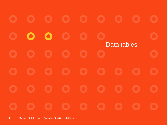$\bullet$  $\bullet$ Data tables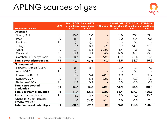#### APLNG sources of gas



| <b>Production volumes</b>                  | <b>Units</b> | 37.5% | Dec-18 QTR Sep-18 QTR<br><b>Origin Share Origin Share</b><br>37.5% | % Change | Dec-17 QTR<br>37.5% | <b>FYTD2019</b><br><b>Origin Share Origin Share Origin Share</b><br>37.5% | <b>FYTD2018</b><br>37.5% |
|--------------------------------------------|--------------|-------|--------------------------------------------------------------------|----------|---------------------|---------------------------------------------------------------------------|--------------------------|
| Operated                                   |              |       |                                                                    |          |                     |                                                                           |                          |
| Spring Gully                               | PJ           | 10.0  | 10.0                                                               |          | 9.6                 | 20.1                                                                      | 19.0                     |
| Peat                                       | PJ           | 0.2   | 0.2                                                                |          | 0.2                 | 0.4                                                                       | 0.5                      |
| Denison                                    | PJ           | O.1   | O.1                                                                |          |                     | O.1                                                                       |                          |
| Talinga                                    | PJ           | 7.1   | 6.9                                                                | 3%       | 6.7                 | 14.0                                                                      | 12.6                     |
| Orana                                      | PJ           | 5.2   | 6.4                                                                | (19%)    | 6.4                 | 11.6                                                                      | 12.1                     |
| Condabri                                   | PJ           | 12.3  | 11.8                                                               | 4%       | 12.9                | 24.1                                                                      | 25.0                     |
| Combabula/Reedy Creek                      | PJ           | 14.1  | 14.2                                                               | (1%)     | 12.7                | 28.4                                                                      | 26.6                     |
| <b>Total operated production</b>           | PJ           | 49.1  | 49.6                                                               | (1%)     | 48.5                | 98.7                                                                      | 95.9                     |
| Non-operated                               |              |       |                                                                    |          |                     |                                                                           |                          |
| Fairview/Arcadia (GLNG)                    | PJ           | 3.6   | 3.6                                                                |          | 3.9                 | 7.3                                                                       | 7.9                      |
| Anya (QGC)                                 | PJ           | O.1   |                                                                    |          |                     | O.1                                                                       |                          |
| Kenya East (QGC)                           | PJ           | 5.2   | 5.4                                                                | (4%)     | 4.9                 | 10.7                                                                      | 10.7                     |
| Kenya (QGC)                                | PJ           | 4.8   | 5.4                                                                | (11%)    | 5.7                 | 10.2 <sub>2</sub>                                                         | 11.7                     |
| Bellevue (QGC)                             | PJ           | 0.3   | 0.3                                                                |          | 0.3                 | 0.5                                                                       | 0.7                      |
| Total non-operated<br>production           | PJ           | 14.0  | 14.6                                                               | (4%)     | 14.9                | 28.6                                                                      | 30.9                     |
| Total upstream production                  | PJ           | 63.1  | 64.3                                                               | (2%)     | 63.4                | 127.3                                                                     | 126.8                    |
| Natural gas purchases                      | PJ           | 4.2   | 3.7                                                                | 14%      | 4.0                 | 7.9                                                                       | 10.0                     |
| Changes in Upstream gas<br>inventory/other | PJ           | 1.0   | (0.7)                                                              | N.a.     | 1.6                 | 0.3                                                                       | 2.0                      |
| Total sources of natural gas               | PJ           | 68.3  | 67.3                                                               | 1%       | 69.0                | 135.5                                                                     | 138.8                    |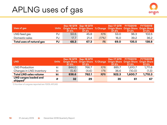#### APLNG uses of gas



| Uses of gas               | <b>Units</b> | Origin Share Origin Share % Change Origin Share Origin Share Origin Share<br>37.5% | Dec-18 QTR Sep-18 QTR<br>37.5% |        | 37.5% | Dec-17 QTR FYTD2019<br>37.5% | <b>FYTD2018</b><br>37.5% |
|---------------------------|--------------|------------------------------------------------------------------------------------|--------------------------------|--------|-------|------------------------------|--------------------------|
| LNG feed gas              | PJ           | 50.5                                                                               | 45.8                           | $10\%$ | 53.0  | 96.3                         | 102.5                    |
| Domestic sales            | PJ           | 17.7                                                                               | 21.4                           | (17%)  | 16.0  | 39.2                         | 36.2                     |
| Total uses of natural gas | PJ           | 68.3                                                                               | 67.3                           | 1%     | 69.0  | 135.5                        | 138.8                    |

| <b>LNG</b>                                           | /Units / | 37.5% | Dec-18 QTR Sep-18 QTR<br>37.5% |        | Dec-17 QTR<br>37.5% | <b>FYTD2019</b><br>Origin Share Origin Share % Change Origin Share Origin Share Origin Share<br>37.5% | <b>FYTD2018</b><br>37.5% |
|------------------------------------------------------|----------|-------|--------------------------------|--------|---------------------|-------------------------------------------------------------------------------------------------------|--------------------------|
| <b>LNG Production</b>                                | kt       | 844.0 | 766.7                          | $10\%$ | 885.7               | 1.610.7                                                                                               | 1,711.6                  |
| Changes in LNG inventory                             | kt       | (5.4) | (4.6)                          | 17%    | 36.6                | (10.0)                                                                                                | (1.3)                    |
| <b>Total LNG sales volume</b>                        | kt       | 838.6 | 762.1                          | 10%    | 922.3               | 1.600.7                                                                                               | 1,710.3                  |
| <b>LNG cargos loaded and</b><br>shipped <sup>1</sup> | #        | 32    | 29                             |        | 35                  | 61                                                                                                    | 67                       |

1) Number of cargoes reported are 100% APLNG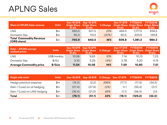#### APLNG Sales

| <b>Share of APLNG Sales revenue</b>           | <b>Units</b> | 37.5% | Dec-18 QTR Sep-18 QTR<br><b>Origin Share</b> Origin Share<br>37.5% | % Change | Dec-17 QTR FYTD2019<br><b>Origin Share Origin Share Origin Share</b><br>37.5% | 37.5%   | <b>FYTD2018</b><br>37.5% |
|-----------------------------------------------|--------------|-------|--------------------------------------------------------------------|----------|-------------------------------------------------------------------------------|---------|--------------------------|
| LNG                                           | \$m          | 650.5 | 527.0                                                              | 23%      | 449.3                                                                         | 1.177.5 | 834.5                    |
| Domestic Gas                                  | \$m          | 90.4  | 113.5                                                              | (20%)    | 60.5                                                                          | 203.9   | 149.8                    |
| <b>Total Commodity Revenue</b><br>(ORG share) | \$m          | 740.9 | 640.5                                                              | 16%      | 509.8                                                                         | 1.381.3 | 984.3                    |

| <b>Sales - APLNG average</b><br>realised prices | <b>Units</b>  | 37.5% | Dec-18 QTR Sep-18 QTR<br><b>Origin Share</b> Origin Share<br>37.5% | % Change | Dec-17 QTR<br><b>Origin Share Origin Share Origin Share</b><br>37.5% | <b>FYTD2019</b><br>37.5% | <b>FYTD2018</b><br>37.5% |
|-------------------------------------------------|---------------|-------|--------------------------------------------------------------------|----------|----------------------------------------------------------------------|--------------------------|--------------------------|
| <b>LNG</b>                                      | US\$/mmbtu    | 10.59 | 9.63                                                               | $10\%$   | 7.14                                                                 | 10.13                    | 7.23                     |
| Domestic Gas                                    | $\frac{f}{G}$ | 5.10  | 5.29                                                               | (4%)     | 3.78                                                                 | 5.20                     | 4.13                     |
| <b>Average Commodity price</b>                  | \$/GJe        | 11.54 | 10.06                                                              | 14%      | 7.59                                                                 | 10.80                    | 7.51                     |

| <b>Origin only costs</b>     | <b>Units</b> | Dec-18 QTR | Sep-18 QTR |      | % Change Dec-17 QTR | <b>FYTD2019</b> | <b>FYTD2018</b> |
|------------------------------|--------------|------------|------------|------|---------------------|-----------------|-----------------|
| Hedge premium expense        | \$m          | (15.3)     | (2.2)      | 596% | (17.1)              | (17.4)          | (34.5)          |
| Gain / (Loss) on oil hedging | \$m          | (27.4)     | (27.9)     | (2%) | 0.1                 | (55.4)          | (0.1)           |
| Gain / (Loss) on LNG hedging | \$m          | (35.4)     | (21.0)     | 69%  | (1.1)               | (56.4)          | 2.6             |
| Total                        | \$m          | (78.1)     | (51.1)     | 53%  | (18.1)              | (129.2)         | (32.0)          |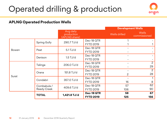### Operated drilling & production



#### **APLNG Operated Production Wells**

|       |              |                                          |                  |               | <b>Development Wells</b> |
|-------|--------------|------------------------------------------|------------------|---------------|--------------------------|
|       |              | Avg daily<br>production<br>(APLNG share) |                  | Wells drilled | Wells<br>commissioned    |
|       | Spring Gully | 290.7 TJ/d                               | Dec-18 QTR       |               |                          |
|       |              |                                          | <b>FYTD 2019</b> |               |                          |
| Bowen | Peat         | $5.1$ TJ/d                               | Dec-18 QTR       |               |                          |
|       |              |                                          | <b>FYTD 2019</b> |               |                          |
|       | Denison      | $1.5$ TJ/d                               | Dec-18 QTR       |               |                          |
|       |              |                                          | <b>FYTD 2019</b> |               |                          |
|       |              | 206.0 TJ/d                               | Dec-18 QTR       |               | $\overline{2}$           |
|       | Talinga      |                                          | <b>FYTD 2019</b> |               | 29                       |
|       | Orana        | 151.8 TJ/d                               | Dec-18 QTR       |               | $\overline{2}$           |
| Surat |              |                                          | <b>FYTD 2019</b> | 2             | 28                       |
|       | Condabri     | 357.0 TJ/d                               | Dec-18 QTR       |               |                          |
|       |              |                                          | <b>FYTD 2019</b> | 16            | 8                        |
|       | Combabula /  | 409.6 TJ/d                               | Dec-18 QTR       | 57            | 62                       |
|       | Reedy Creek  |                                          | <b>FYTD 2019</b> | 106           | 90                       |
|       | <b>TOTAL</b> | 1,421.8 TJ/d                             | Dec-18 QTR       | 58            | 67                       |
|       |              |                                          | <b>FYTD 2019</b> | 125           | 156                      |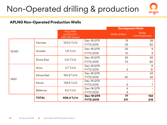### Non-Operated drilling & production



#### **APLNG Non-Operated Production Wells**

|             |              |                                          |                  |                | <b>Development Wells</b> |
|-------------|--------------|------------------------------------------|------------------|----------------|--------------------------|
|             |              | Avg daily<br>production<br>(APLNG share) |                  | Wells drilled  | Wells<br>commissioned    |
|             | Fairview     | 103.0 TJ/d                               | Dec-18 QTR       | 15             | 28                       |
|             |              |                                          | <b>FYTD 2019</b> | 33             | 50                       |
|             | Arcadia      | $1.8$ TJ/d                               | Dec-18 QTR       | 33             | 9                        |
| <b>GLNG</b> |              |                                          | <b>FYTD 2019</b> | 51             | 9                        |
|             |              | $0.0$ TJ/d                               | Dec-18 QTR       | 25             | 65                       |
|             | Roma East    |                                          | <b>FYTD 2019</b> | 70             | 80                       |
|             |              | $2.7$ TJ/d                               | Dec-18 QTR       |                | 6                        |
|             | Anya         |                                          | <b>FYTD 2019</b> | 4              | 31                       |
|             | Kenya East   | 150.9 TJ/d                               | Dec-18 QTR       |                | 34                       |
| QGC         |              |                                          | <b>FYTD 2019</b> | 40             | 42                       |
|             | Kenya        | 139.8 TJ/d                               | Dec-18 QTR       |                |                          |
|             |              |                                          | <b>FYTD 2019</b> | 9              |                          |
|             | Bellevue     | $8.2$ TJ/d                               | Dec-18 QTR       | $\overline{4}$ |                          |
|             |              |                                          | <b>FYTD 2019</b> | 4              |                          |
|             | <b>TOTAL</b> | 406.4 TJ/d                               | Dec-18 QTR       | 77             | 142                      |
|             |              |                                          | <b>FYTD 2019</b> | 211            | 219                      |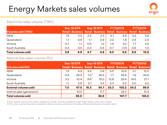## Energy Markets sales volumes

#### Electricity sales volume (TWh)

|                           | Dec-18 QTR |     | Sep-18 QTR |               | <b>FYTD2019</b> |     | <b>FYTD2018</b> |                                                                 |
|---------------------------|------------|-----|------------|---------------|-----------------|-----|-----------------|-----------------------------------------------------------------|
| <b>Volumes sold (TWh)</b> |            |     |            |               |                 |     |                 | Retail Business Retail Business Retail Business Retail Business |
| <b>NSW</b>                | 1.8        | 2.5 | 2.3        | 2.3           | 4.1             | 4.8 | 4.2             | 4.6                                                             |
| Queensland                | 1.1        | O.9 | 1.1        | 0.9           | 2.2             | 1.8 | 2.4             | 2.0                                                             |
| Victoria                  | 0.7        | 1.1 | 0.9        | $1.2^{\circ}$ | 1.6             | 2.2 | 1.7             | 2.5                                                             |
| South Australia           | O.3        | O.5 | O.3        | 0.4           | 0.7             | 0.9 | O.6             | 1.0                                                             |
| <b>Total volumes sold</b> | 3.8        | 4.9 | 4.7        | 4.8           | 8.5             | 9.6 | 8.9             | 10.0                                                            |

origin

#### Natural Gas sales volume (PJ)

|                              | Dec-18 QTR |      | Sep-18 QTR    |      | <b>FYTD2019</b> |       | <b>FYTD2018</b> |                                                                              |
|------------------------------|------------|------|---------------|------|-----------------|-------|-----------------|------------------------------------------------------------------------------|
| <b>Volumes sold (PJ)</b>     |            |      |               |      |                 |       |                 | Retail Business Retail Business Retail Business Retail Business <sup>2</sup> |
| <b>NSW</b>                   | 1.9        | 4.9  | 3.6           | 5.8  | 5.5             | 10.6  | 5.1             | 12.0                                                                         |
| Queensland                   | 0.8        | 29.4 | 1.0           | 26.5 | 1.7             | 55.9  | 1.6             | 44.6                                                                         |
| Victoria                     | 3.2        | 10.4 | $9.6^{\circ}$ | 19.0 | 12.8            | 29.4  | 14.5            | 27.1                                                                         |
| South Australia              | 1.1        | 2.8  | 2.1           | 3.4  | 3.3             | 6.2   | 3.0             | 6.2                                                                          |
| <b>External volumes sold</b> |            | 47.5 | 16.3          | 54.7 | 23.3            | 102.2 | 24.2            | 89.9                                                                         |
| Internal sales (generation)  |            | 10.5 |               | 11.7 |                 | 22.2  |                 | 31.4                                                                         |
| <b>Total volumes sold</b>    |            | 65.0 |               | 82.8 |                 | 147.7 |                 | 145.5                                                                        |

1) Prior quarter volumes have been updated to include volumes supplied through Origin Water, previously omitted 2) Prior year volumes have been restated to allocate trading volumes to the relevant States (previously included in QLD)